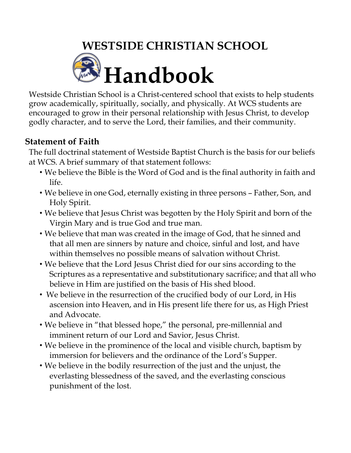# **WESTSIDE CHRISTIAN SCHOOL Handbook**

Westside Christian School is a Christ-centered school that exists to help students grow academically, spiritually, socially, and physically. At WCS students are encouraged to grow in their personal relationship with Jesus Christ, to develop godly character, and to serve the Lord, their families, and their community.

## **Statement of Faith**

The full doctrinal statement of Westside Baptist Church is the basis for our beliefs at WCS. A brief summary of that statement follows:

- We believe the Bible is the Word of God and is the final authority in faith and life.
- We believe in one God, eternally existing in three persons Father, Son, and Holy Spirit.
- We believe that Jesus Christ was begotten by the Holy Spirit and born of the Virgin Mary and is true God and true man.
- We believe that man was created in the image of God, that he sinned and that all men are sinners by nature and choice, sinful and lost, and have within themselves no possible means of salvation without Christ.
- We believe that the Lord Jesus Christ died for our sins according to the Scriptures as a representative and substitutionary sacrifice; and that all who believe in Him are justified on the basis of His shed blood.
- We believe in the resurrection of the crucified body of our Lord, in His ascension into Heaven, and in His present life there for us, as High Priest and Advocate.
- We believe in "that blessed hope," the personal, pre-millennial and imminent return of our Lord and Savior, Jesus Christ.
- We believe in the prominence of the local and visible church, baptism by immersion for believers and the ordinance of the Lord's Supper.
- We believe in the bodily resurrection of the just and the unjust, the everlasting blessedness of the saved, and the everlasting conscious punishment of the lost.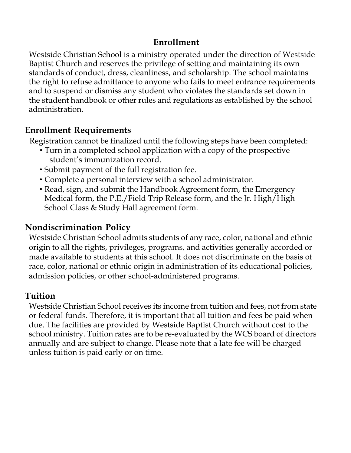### **Enrollment**

Westside Christian School is a ministry operated under the direction of Westside Baptist Church and reserves the privilege of setting and maintaining its own standards of conduct, dress, cleanliness, and scholarship. The school maintains the right to refuse admittance to anyone who fails to meet entrance requirements and to suspend or dismiss any student who violates the standards set down in the student handbook or other rules and regulations as established by the school administration.

## **Enrollment Requirements**

Registration cannot be finalized until the following steps have been completed:

- Turn in a completed school application with a copy of the prospective student's immunization record.
- Submit payment of the full registration fee.
- Complete a personal interview with a school administrator.
- Read, sign, and submit the Handbook Agreement form, the Emergency Medical form, the P.E./Field Trip Release form, and the Jr. High/High School Class & Study Hall agreement form.

#### **Nondiscrimination Policy**

Westside Christian School admits students of any race, color, national and ethnic origin to all the rights, privileges, programs, and activities generally accorded or made available to students at this school. It does not discriminate on the basis of race, color, national or ethnic origin in administration of its educational policies, admission policies, or other school-administered programs.

#### **Tuition**

Westside Christian School receives its income from tuition and fees, not from state or federal funds. Therefore, it is important that all tuition and fees be paid when due. The facilities are provided by Westside Baptist Church without cost to the school ministry. Tuition rates are to be re-evaluated by the WCS board of directors annually and are subject to change. Please note that a late fee will be charged unless tuition is paid early or on time.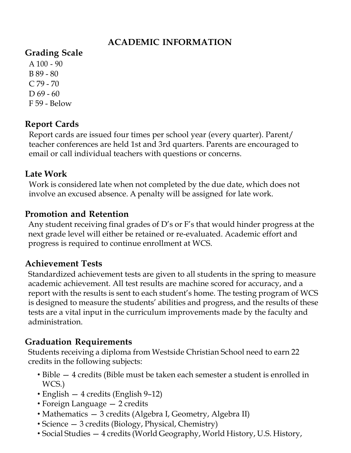# **ACADEMIC INFORMATION**

## **Grading Scale**

 $A$  100 - 90 B 89 - 80 C 79 - 70  $D 69 - 60$ F 59 - Below

## **Report Cards**

Report cards are issued four times per school year (every quarter). Parent/ teacher conferences are held 1st and 3rd quarters. Parents are encouraged to email or call individual teachers with questions or concerns.

#### **Late Work**

Work is considered late when not completed by the due date, which does not involve an excused absence. A penalty will be assigned for late work.

#### **Promotion and Retention**

Any student receiving final grades of D's or F's that would hinder progress at the next grade level will either be retained or re-evaluated. Academic effort and progress is required to continue enrollment at WCS.

#### **Achievement Tests**

Standardized achievement tests are given to all students in the spring to measure academic achievement. All test results are machine scored for accuracy, and a report with the results is sent to each student's home. The testing program of WCS is designed to measure the students' abilities and progress, and the results of these tests are a vital input in the curriculum improvements made by the faculty and administration.

#### **Graduation Requirements**

Students receiving a diploma from Westside Christian School need to earn 22 credits in the following subjects:

- Bible 4 credits (Bible must be taken each semester a student is enrolled in WCS.)
- English 4 credits (English 9–12)
- Foreign Language 2 credits
- Mathematics 3 credits (Algebra I, Geometry, Algebra II)
- Science 3 credits (Biology, Physical, Chemistry)
- Social Studies 4 credits (World Geography, World History, U.S. History,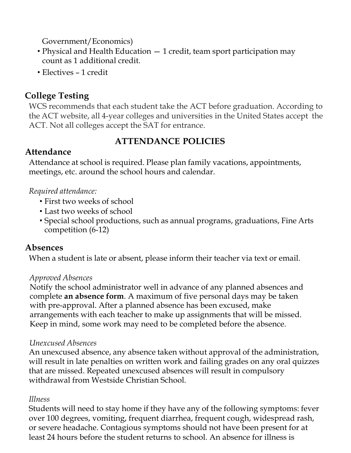Government/Economics)

- Physical and Health Education 1 credit, team sport participation may count as 1 additional credit.
- Electives 1 credit

### **College Testing**

WCS recommends that each student take the ACT before graduation. According to the ACT website, all 4-year colleges and universities in the United States accept the ACT. Not all colleges accept the SAT for entrance.

## **ATTENDANCE POLICIES**

#### **Attendance**

Attendance at school is required. Please plan family vacations, appointments, meetings, etc. around the school hours and calendar.

#### *Required attendance:*

- First two weeks of school
- Last two weeks of school
- Special school productions, such as annual programs, graduations, Fine Arts competition (6-12)

#### **Absences**

When a student is late or absent, please inform their teacher via text or email.

#### *Approved Absences*

Notify the school administrator well in advance of any planned absences and complete **an absence form**. A maximum of five personal days may be taken with pre-approval. After a planned absence has been excused, make arrangements with each teacher to make up assignments that will be missed. Keep in mind, some work may need to be completed before the absence.

#### *Unexcused Absences*

An unexcused absence, any absence taken without approval of the administration, will result in late penalties on written work and failing grades on any oral quizzes that are missed. Repeated unexcused absences will result in compulsory withdrawal from Westside Christian School.

#### *Illness*

Students will need to stay home if they have any of the following symptoms: fever over 100 degrees, vomiting, frequent diarrhea, frequent cough, widespread rash, or severe headache. Contagious symptoms should not have been present for at least 24 hours before the student returns to school. An absence for illness is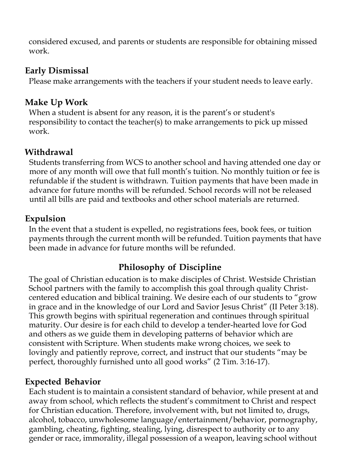considered excused, and parents or students are responsible for obtaining missed work.

#### **Early Dismissal**

Please make arrangements with the teachers if your student needs to leave early.

#### **Make Up Work**

When a student is absent for any reason, it is the parent's or student's responsibility to contact the teacher(s) to make arrangements to pick up missed work.

#### **Withdrawal**

Students transferring from WCS to another school and having attended one day or more of any month will owe that full month's tuition. No monthly tuition or fee is refundable if the student is withdrawn. Tuition payments that have been made in advance for future months will be refunded. School records will not be released until all bills are paid and textbooks and other school materials are returned.

#### **Expulsion**

In the event that a student is expelled, no registrations fees, book fees, or tuition payments through the current month will be refunded. Tuition payments that have been made in advance for future months will be refunded.

## **Philosophy of Discipline**

The goal of Christian education is to make disciples of Christ. Westside Christian School partners with the family to accomplish this goal through quality Christcentered education and biblical training. We desire each of our students to "grow in grace and in the knowledge of our Lord and Savior Jesus Christ" (II Peter 3:18). This growth begins with spiritual regeneration and continues through spiritual maturity. Our desire is for each child to develop a tender-hearted love for God and others as we guide them in developing patterns of behavior which are consistent with Scripture. When students make wrong choices, we seek to lovingly and patiently reprove, correct, and instruct that our students "may be perfect, thoroughly furnished unto all good works" (2 Tim. 3:16-17).

#### **Expected Behavior**

Each student is to maintain a consistent standard of behavior, while present at and away from school, which reflects the student's commitment to Christ and respect for Christian education. Therefore, involvement with, but not limited to, drugs, alcohol, tobacco, unwholesome language/entertainment/behavior, pornography, gambling, cheating, fighting, stealing, lying, disrespect to authority or to any gender or race, immorality, illegal possession of a weapon, leaving school without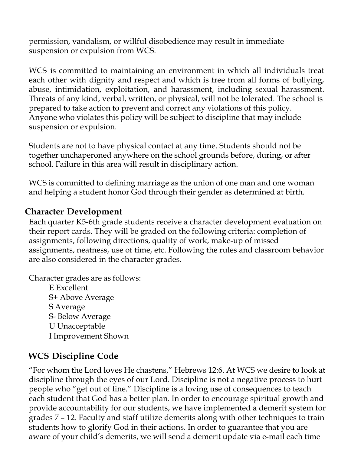permission, vandalism, or willful disobedience may result in immediate suspension or expulsion from WCS.

WCS is committed to maintaining an environment in which all individuals treat each other with dignity and respect and which is free from all forms of bullying, abuse, intimidation, exploitation, and harassment, including sexual harassment. Threats of any kind, verbal, written, or physical, will not be tolerated. The school is prepared to take action to prevent and correct any violations of this policy. Anyone who violates this policy will be subject to discipline that may include suspension or expulsion.

Students are not to have physical contact at any time. Students should not be together unchaperoned anywhere on the school grounds before, during, or after school. Failure in this area will result in disciplinary action.

WCS is committed to defining marriage as the union of one man and one woman and helping a student honor God through their gender as determined at birth.

#### **Character Development**

Each quarter K5-6th grade students receive a character development evaluation on their report cards. They will be graded on the following criteria: completion of assignments, following directions, quality of work, make-up of missed assignments, neatness, use of time, etc. Following the rules and classroom behavior are also considered in the character grades.

Character grades are as follows:

E Excellent S+ Above Average S Average S- Below Average U Unacceptable I Improvement Shown

## **WCS Discipline Code**

"For whom the Lord loves He chastens," Hebrews 12:6. At WCS we desire to look at discipline through the eyes of our Lord. Discipline is not a negative process to hurt people who "get out of line." Discipline is a loving use of consequences to teach each student that God has a better plan. In order to encourage spiritual growth and provide accountability for our students, we have implemented a demerit system for grades 7 – 12. Faculty and staff utilize demerits along with other techniques to train students how to glorify God in their actions. In order to guarantee that you are aware of your child's demerits, we will send a demerit update via e-mail each time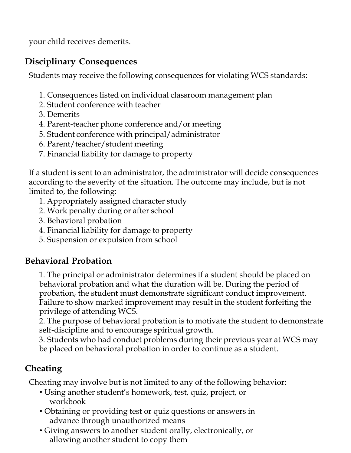your child receives demerits.

## **Disciplinary Consequences**

Students may receive the following consequences for violating WCS standards:

- 1. Consequences listed on individual classroom management plan
- 2. Student conference with teacher
- 3. Demerits
- 4. Parent-teacher phone conference and/or meeting
- 5. Student conference with principal/administrator
- 6. Parent/teacher/student meeting
- 7. Financial liability for damage to property

If a student is sent to an administrator, the administrator will decide consequences according to the severity of the situation. The outcome may include, but is not limited to, the following:

- 1. Appropriately assigned character study
- 2. Work penalty during or after school
- 3. Behavioral probation
- 4. Financial liability for damage to property
- 5. Suspension or expulsion from school

# **Behavioral Probation**

1. The principal or administrator determines if a student should be placed on behavioral probation and what the duration will be. During the period of probation, the student must demonstrate significant conduct improvement. Failure to show marked improvement may result in the student forfeiting the privilege of attending WCS.

2. The purpose of behavioral probation is to motivate the student to demonstrate self-discipline and to encourage spiritual growth.

3. Students who had conduct problems during their previous year at WCS may be placed on behavioral probation in order to continue as a student.

# **Cheating**

Cheating may involve but is not limited to any of the following behavior:

- Using another student's homework, test, quiz, project, or workbook
- Obtaining or providing test or quiz questions or answers in advance through unauthorized means
- Giving answers to another student orally, electronically, or allowing another student to copy them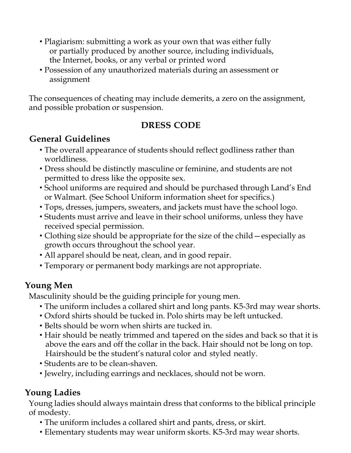- Plagiarism: submitting a work as your own that was either fully or partially produced by another source, including individuals, the Internet, books, or any verbal or printed word
- Possession of any unauthorized materials during an assessment or assignment

The consequences of cheating may include demerits, a zero on the assignment, and possible probation or suspension.

## **DRESS CODE**

# **General Guidelines**

- The overall appearance of students should reflect godliness rather than worldliness.
- Dress should be distinctly masculine or feminine, and students are not permitted to dress like the opposite sex.
- School uniforms are required and should be purchased through Land's End or Walmart. (See School Uniform information sheet for specifics.)
- Tops, dresses, jumpers, sweaters, and jackets must have the school logo.
- Students must arrive and leave in their school uniforms, unless they have received special permission.
- Clothing size should be appropriate for the size of the child—especially as growth occurs throughout the school year.
- All apparel should be neat, clean, and in good repair.
- Temporary or permanent body markings are not appropriate.

# **Young Men**

Masculinity should be the guiding principle for young men.

- The uniform includes a collared shirt and long pants. K5-3rd may wear shorts.
- Oxford shirts should be tucked in. Polo shirts may be left untucked.
- Belts should be worn when shirts are tucked in.
- Hair should be neatly trimmed and tapered on the sides and back so that it is above the ears and off the collar in the back. Hair should not be long on top. Hairshould be the student's natural color and styled neatly.
- Students are to be clean-shaven.
- Jewelry, including earrings and necklaces, should not be worn.

# **Young Ladies**

Young ladies should always maintain dress that conforms to the biblical principle of modesty.

- The uniform includes a collared shirt and pants, dress, or skirt.
- Elementary students may wear uniform skorts. K5-3rd may wear shorts.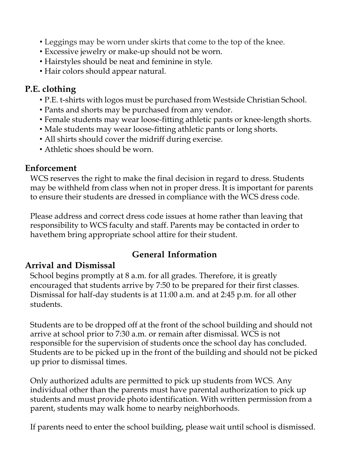- Leggings may be worn under skirts that come to the top of the knee.
- Excessive jewelry or make-up should not be worn.
- Hairstyles should be neat and feminine in style.
- Hair colors should appear natural.

## **P.E. clothing**

- P.E. t-shirts with logos must be purchased from Westside Christian School.
- Pants and shorts may be purchased from any vendor.
- Female students may wear loose-fitting athletic pants or knee-length shorts.
- Male students may wear loose-fitting athletic pants or long shorts.
- All shirts should cover the midriff during exercise.
- Athletic shoes should be worn.

## **Enforcement**

WCS reserves the right to make the final decision in regard to dress. Students may be withheld from class when not in proper dress. It is important for parents to ensure their students are dressed in compliance with the WCS dress code.

Please address and correct dress code issues at home rather than leaving that responsibility to WCS faculty and staff. Parents may be contacted in order to havethem bring appropriate school attire for their student.

# **General Information**

# **Arrival and Dismissal**

School begins promptly at 8 a.m. for all grades. Therefore, it is greatly encouraged that students arrive by 7:50 to be prepared for their first classes. Dismissal for half-day students is at 11:00 a.m. and at 2:45 p.m. for all other students.

Students are to be dropped off at the front of the school building and should not arrive at school prior to 7:30 a.m. or remain after dismissal. WCS is not responsible for the supervision of students once the school day has concluded. Students are to be picked up in the front of the building and should not be picked up prior to dismissal times.

Only authorized adults are permitted to pick up students from WCS. Any individual other than the parents must have parental authorization to pick up students and must provide photo identification. With written permission from a parent, students may walk home to nearby neighborhoods.

If parents need to enter the school building, please wait until school is dismissed.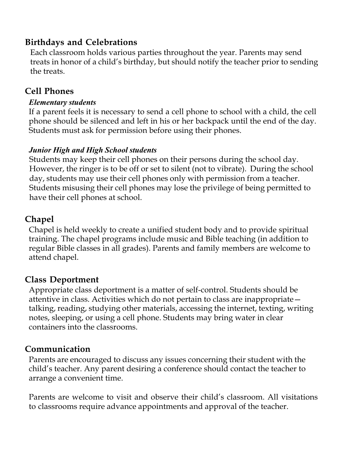## **Birthdays and Celebrations**

Each classroom holds various parties throughout the year. Parents may send treats in honor of a child's birthday, but should notify the teacher prior to sending the treats.

## **Cell Phones**

#### *Elementary students*

If a parent feels it is necessary to send a cell phone to school with a child, the cell phone should be silenced and left in his or her backpack until the end of the day. Students must ask for permission before using their phones.

#### *Junior High and High School students*

Students may keep their cell phones on their persons during the school day. However, the ringer is to be off or set to silent (not to vibrate). During the school day, students may use their cell phones only with permission from a teacher. Students misusing their cell phones may lose the privilege of being permitted to have their cell phones at school.

#### **Chapel**

Chapel is held weekly to create a unified student body and to provide spiritual training. The chapel programs include music and Bible teaching (in addition to regular Bible classes in all grades). Parents and family members are welcome to attend chapel.

#### **Class Deportment**

Appropriate class deportment is a matter of self-control. Students should be attentive in class. Activities which do not pertain to class are inappropriate talking, reading, studying other materials, accessing the internet, texting, writing notes, sleeping, or using a cell phone. Students may bring water in clear containers into the classrooms.

#### **Communication**

Parents are encouraged to discuss any issues concerning their student with the child's teacher. Any parent desiring a conference should contact the teacher to arrange a convenient time.

Parents are welcome to visit and observe their child's classroom. All visitations to classrooms require advance appointments and approval of the teacher.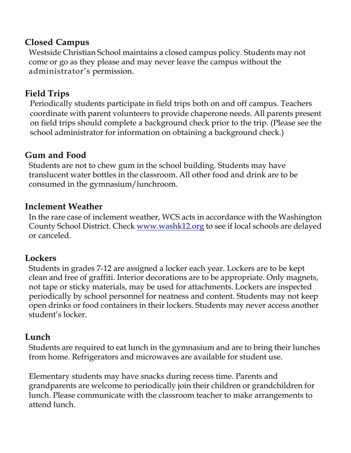#### **Closed Campus**

Westside Christian School maintains a closed campus policy. Students may not come or go as they please and may never leave the campus without the administrator's permission.

#### **Field Trips**

Periodically students participate in field trips both on and off campus. Teachers coordinate with parent volunteers to provide chaperone needs. All parents present on field trips should complete a background check prior to the trip. (Please see the school administrator for information on obtaining a background check.)

#### **Gum and Food**

Students are not to chew gum in the school building. Students may have translucent water bottles in the classroom. All other food and drink are to be consumed in the gymnasium/lunchroom.

#### **Inclement Weather**

In the rare case of inclement weather, WCS acts in accordance with the Washington County School District. Check www.washk12.org to see if local schools are delayed or canceled.

#### **Lockers**

Students in grades 7-12 are assigned a locker each year. Lockers are to be kept clean and free of graffiti. Interior decorations are to be appropriate. Only magnets, not tape or sticky materials, may be used for attachments. Lockers are inspected periodically by school personnel for neatness and content. Students may not keep open drinks or food containers in their lockers. Students may never access another student's locker.

#### **Lunch**

Students are required to eat lunch in the gymnasium and are to bring their lunches from home. Refrigerators and microwaves are available for student use.

Elementary students may have snacks during recess time. Parents and grandparents are welcome to periodically join their children or grandchildren for lunch. Please communicate with the classroom teacher to make arrangements to attend lunch.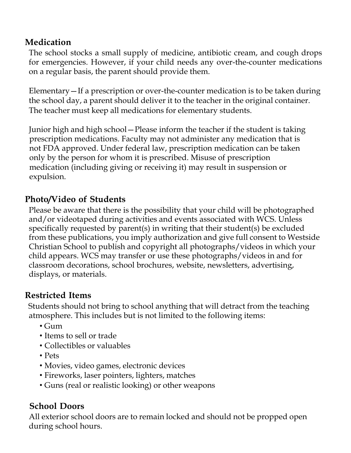# **Medication**

The school stocks a small supply of medicine, antibiotic cream, and cough drops for emergencies. However, if your child needs any over-the-counter medications on a regular basis, the parent should provide them.

Elementary—If a prescription or over-the-counter medication is to be taken during the school day, a parent should deliver it to the teacher in the original container. The teacher must keep all medications for elementary students.

Junior high and high school—Please inform the teacher if the student is taking prescription medications. Faculty may not administer any medication that is not FDA approved. Under federal law, prescription medication can be taken only by the person for whom it is prescribed. Misuse of prescription medication (including giving or receiving it) may result in suspension or expulsion.

## **Photo/Video of Students**

Please be aware that there is the possibility that your child will be photographed and/or videotaped during activities and events associated with WCS. Unless specifically requested by parent(s) in writing that their student(s) be excluded from these publications, you imply authorization and give full consent to Westside Christian School to publish and copyright all photographs/videos in which your child appears. WCS may transfer or use these photographs/videos in and for classroom decorations, school brochures, website, newsletters, advertising, displays, or materials.

#### **Restricted Items**

Students should not bring to school anything that will detract from the teaching atmosphere. This includes but is not limited to the following items:

- $\cdot$  Gum
- Items to sell or trade
- Collectibles or valuables
- Pets
- Movies, video games, electronic devices
- Fireworks, laser pointers, lighters, matches
- Guns (real or realistic looking) or other weapons

#### **School Doors**

All exterior school doors are to remain locked and should not be propped open during school hours.